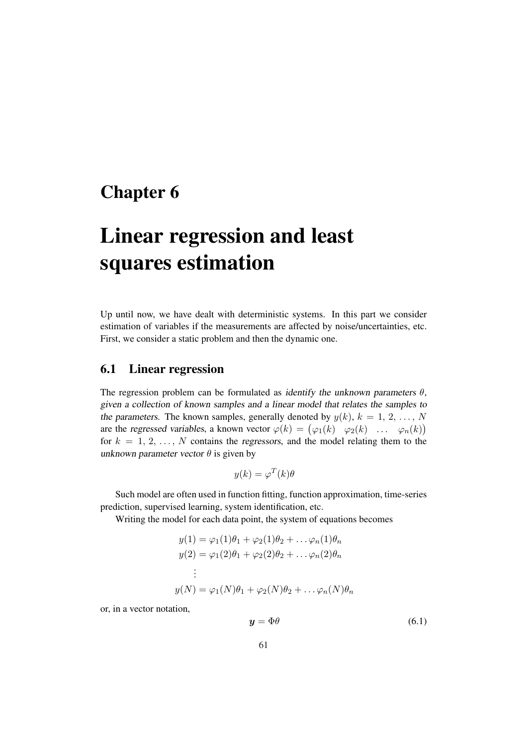# Chapter 6

# Linear regression and least squares estimation

Up until now, we have dealt with deterministic systems. In this part we consider estimation of variables if the measurements are affected by noise/uncertainties, etc. First, we consider a static problem and then the dynamic one.

# 6.1 Linear regression

The regression problem can be formulated as identify the unknown parameters  $\theta$ , given <sup>a</sup> collection of known samples and <sup>a</sup> linear model that relates the samples to the parameters. The known samples, generally denoted by  $y(k)$ ,  $k = 1, 2, ..., N$ are the regressed variables, a known vector  $\varphi(k) = (\varphi_1(k) \quad \varphi_2(k) \quad \dots \quad \varphi_n(k))$ for  $k = 1, 2, \ldots, N$  contains the regressors, and the model relating them to the unknown parameter vector  $\theta$  is given by

$$
y(k) = \varphi^T(k)\theta
$$

Such model are often used in function fitting, function approximation, time-series prediction, supervised learning, system identification, etc.

Writing the model for each data point, the system of equations becomes

$$
y(1) = \varphi_1(1)\theta_1 + \varphi_2(1)\theta_2 + \dots \varphi_n(1)\theta_n
$$
  
\n
$$
y(2) = \varphi_1(2)\theta_1 + \varphi_2(2)\theta_2 + \dots \varphi_n(2)\theta_n
$$
  
\n
$$
\vdots
$$
  
\n
$$
y(N) = \varphi_1(N)\theta_1 + \varphi_2(N)\theta_2 + \dots \varphi_n(N)\theta_n
$$

or, in a vector notation,

$$
y = \Phi \theta \tag{6.1}
$$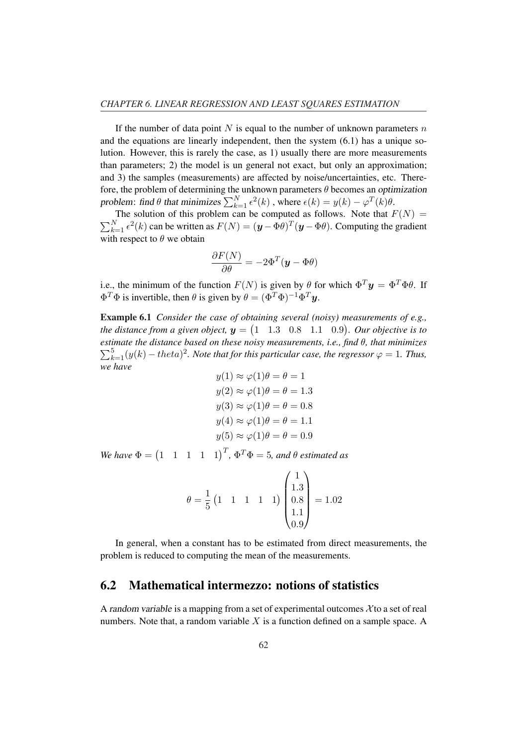If the number of data point N is equal to the number of unknown parameters  $n$ and the equations are linearly independent, then the system (6.1) has a unique solution. However, this is rarely the case, as 1) usually there are more measurements than parameters; 2) the model is un general not exact, but only an approximation; and 3) the samples (measurements) are affected by noise/uncertainties, etc. Therefore, the problem of determining the unknown parameters  $\theta$  becomes an optimization problem: find  $\theta$  that minimizes  $\sum_{k=1}^{N}$  $_{k=1}^{N}\epsilon^{2}(k)$  , where  $\epsilon(k)=y(k)-\varphi^{T}(k)\theta.$ 

The solution of this problem can be computed as follows. Note that  $F(N) = \sum_{N=0}^{N} f(N)$  $_{k=1}^{N} \epsilon^{2}(k)$  can be written as  $F(N) = (\mathbf{y} - \Phi \theta)^{T} (\mathbf{y} - \Phi \theta)$ . Computing the gradient with respect to  $\theta$  we obtain

$$
\frac{\partial F(N)}{\partial \theta} = -2\Phi^T(\mathbf{y} - \Phi\theta)
$$

i.e., the minimum of the function  $F(N)$  is given by  $\theta$  for which  $\Phi^T \mathbf{y} = \Phi^T \Phi \theta$ . If  $\Phi^T \Phi$  is invertible, then  $\theta$  is given by  $\theta = (\Phi^T \Phi)^{-1} \Phi^T \mathbf{y}$ .

**Example 6.1** *Consider the case of obtaining several (noisy) measurements of e.g.,* the distance from a given object,  $y = (1 \quad 1.3 \quad 0.8 \quad 1.1 \quad 0.9)$ *. Our objective is to estimate the distance based on these noisy measurements, i.e., find θ, that minimizes*  $_{k=1}^{5}(y(k) - theta)^{2}$ . Note that for this particular case, the regressor  $\varphi = 1$ . Thus, *we have*

$$
y(1) \approx \varphi(1)\theta = \theta = 1
$$
  

$$
y(2) \approx \varphi(1)\theta = \theta = 1.3
$$
  

$$
y(3) \approx \varphi(1)\theta = \theta = 0.8
$$
  

$$
y(4) \approx \varphi(1)\theta = \theta = 1.1
$$
  

$$
y(5) \approx \varphi(1)\theta = \theta = 0.9
$$

*We have*  $\Phi = \begin{pmatrix} 1 & 1 & 1 & 1 & 1 \end{pmatrix}^T$ ,  $\Phi^T \Phi = 5$ , and  $\theta$  estimated as

$$
\theta = \frac{1}{5} \begin{pmatrix} 1 & 1 & 1 & 1 & 1 \end{pmatrix} \begin{pmatrix} 1 \\ 1.3 \\ 0.8 \\ 1.1 \\ 0.9 \end{pmatrix} = 1.02
$$

In general, when a constant has to be estimated from direct measurements, the problem is reduced to computing the mean of the measurements.

## 6.2 Mathematical intermezzo: notions of statistics

A random variable is a mapping from a set of experimental outcomes  $\chi$  to a set of real numbers. Note that, a random variable  $X$  is a function defined on a sample space. A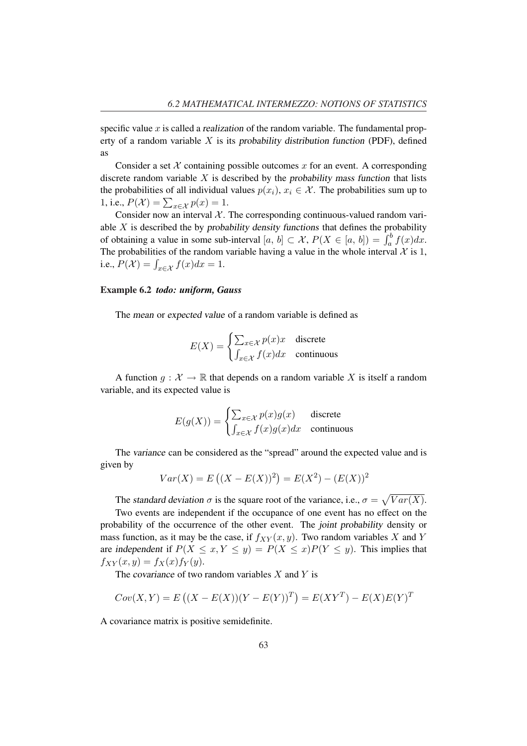specific value x is called a realization of the random variable. The fundamental property of a random variable  $X$  is its probability distribution function (PDF), defined as

Consider a set  $X$  containing possible outcomes x for an event. A corresponding discrete random variable  $X$  is described by the probability mass function that lists the probabilities of all individual values  $p(x_i)$ ,  $x_i \in \mathcal{X}$ . The probabilities sum up to the probabilities of all mutudial 1, i.e.,  $P(\mathcal{X}) = \sum_{x \in \mathcal{X}} p(x) = 1$ .

Consider now an interval  $X$ . The corresponding continuous-valued random variable  $X$  is described the by probability density functions that defines the probability able A is described the by probability density functions that defines the probability<br>of obtaining a value in some sub-interval  $[a, b] \subset \mathcal{X}$ ,  $P(X \in [a, b]) = \int_a^b f(x) dx$ . The probabilities of the random variable having a value in the whole interval  $\mathcal X$  is 1, i.e.,  $P(\mathcal{X}) = \int_{x \in \mathcal{X}} f(x) dx = 1$ .

#### Example 6.2 *todo: uniform, Gauss*

The mean or expected value of a random variable is defined as

$$
E(X) = \begin{cases} \sum_{x \in \mathcal{X}} p(x)x & \text{discrete} \\ \int_{x \in \mathcal{X}} f(x)dx & \text{continuous} \end{cases}
$$

A function  $q : \mathcal{X} \to \mathbb{R}$  that depends on a random variable X is itself a random variable, and its expected value is

$$
E(g(X)) = \begin{cases} \sum_{x \in \mathcal{X}} p(x)g(x) & \text{discrete} \\ \int_{x \in \mathcal{X}} f(x)g(x)dx & \text{continuous} \end{cases}
$$

The variance can be considered as the "spread" around the expected value and is given by ¡ ¢

$$
Var(X) = E((X – E(X))^{2}) = E(X^{2}) – (E(X))^{2}
$$

The standard deviation  $\sigma$  is the square root of the variance, i.e.,  $\sigma =$ p  $Var(X)$ .

Two events are independent if the occupance of one event has no effect on the probability of the occurrence of the other event. The joint probability density or mass function, as it may be the case, if  $f_{XY}(x, y)$ . Two random variables X and Y are independent if  $P(X \le x, Y \le y) = P(X \le x)P(Y \le y)$ . This implies that  $f_{XY}(x, y) = f_X(x) f_Y(y).$ 

The covariance of two random variables  $X$  and  $Y$  is

$$
Cov(X, Y) = E((X – E(X))(Y – E(Y))^{T}) = E(XY^{T}) – E(X)E(Y)^{T}
$$

A covariance matrix is positive semidefinite.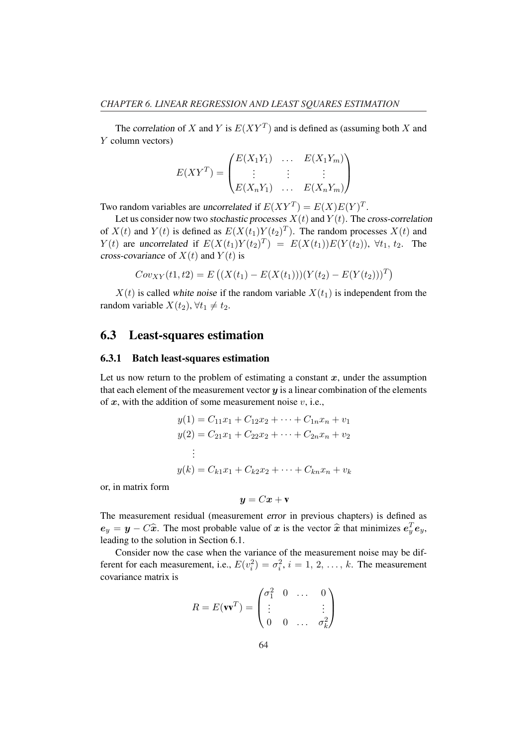The correlation of X and Y is  $E(XY^T)$  and is defined as (assuming both X and Y column vectors)

$$
E(XY^{T}) = \begin{pmatrix} E(X_1Y_1) & \dots & E(X_1Y_m) \\ \vdots & \vdots & \vdots \\ E(X_nY_1) & \dots & E(X_nY_m) \end{pmatrix}
$$

Two random variables are uncorrelated if  $E(XY^T) = E(X)E(Y)^T$ .

Let us consider now two stochastic processes  $X(t)$  and  $Y(t)$ . The cross-correlation of  $X(t)$  and  $Y(t)$  is defined as  $E(X(t_1)Y(t_2)^T)$ . The random processes  $X(t)$  and  $Y(t)$  are uncorrelated if  $E(X(t_1)Y(t_2)^T) = E(X(t_1))E(Y(t_2))$ ,  $\forall t_1, t_2$ . The cross-covariance of  $X(t)$  and  $Y(t)$  is

$$
Cov_{XY}(t1, t2) = E\left((X(t_1) - E(X(t_1)))(Y(t_2) - E(Y(t_2)))^T\right)
$$

 $X(t)$  is called white noise if the random variable  $X(t_1)$  is independent from the random variable  $X(t_2)$ ,  $\forall t_1 \neq t_2$ .

# 6.3 Least-squares estimation

#### 6.3.1 Batch least-squares estimation

Let us now return to the problem of estimating a constant  $x$ , under the assumption that each element of the measurement vector  $y$  is a linear combination of the elements of  $x$ , with the addition of some measurement noise  $v$ , i.e.,

$$
y(1) = C_{11}x_1 + C_{12}x_2 + \dots + C_{1n}x_n + v_1
$$
  
\n
$$
y(2) = C_{21}x_1 + C_{22}x_2 + \dots + C_{2n}x_n + v_2
$$
  
\n
$$
\vdots
$$
  
\n
$$
y(k) = C_{k1}x_1 + C_{k2}x_2 + \dots + C_{kn}x_n + v_k
$$

or, in matrix form

$$
y = Cx + v
$$

The measurement residual (measurement error in previous chapters) is defined as  $e_y = y - C\hat{x}$ . The most probable value of x is the vector  $\hat{x}$  that minimizes  $e_y^T e_y$ , leading to the solution in Section 6.1.

Consider now the case when the variance of the measurement noise may be different for each measurement, i.e.,  $E(v_i^2) = \sigma_i^2$ ,  $i = 1, 2, ..., k$ . The measurement covariance matrix is  $\mathbf{r}$ 

$$
R = E(\mathbf{v}\mathbf{v}^T) = \begin{pmatrix} \sigma_1^2 & 0 & \dots & 0 \\ \vdots & & & \vdots \\ 0 & 0 & \dots & \sigma_k^2 \end{pmatrix}
$$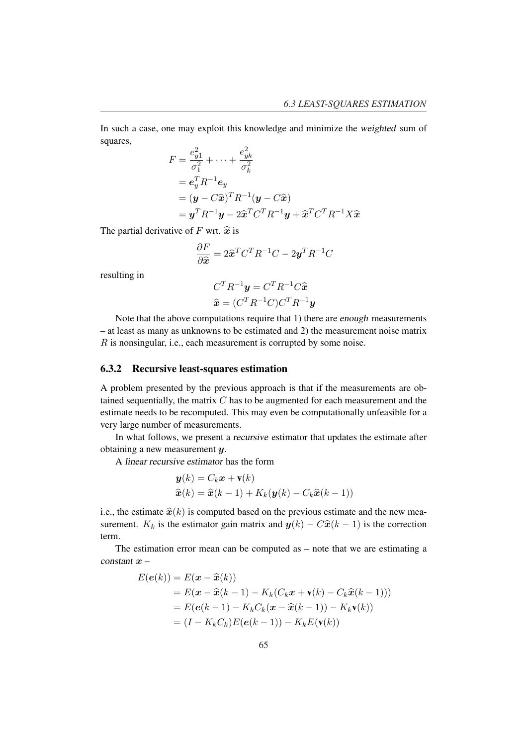In such a case, one may exploit this knowledge and minimize the weighted sum of squares,

$$
F = \frac{e_{y1}^2}{\sigma_1^2} + \dots + \frac{e_{yk}^2}{\sigma_k^2}
$$
  
=  $e_y^T R^{-1} e_y$   
=  $(\mathbf{y} - C\hat{\mathbf{x}})^T R^{-1} (\mathbf{y} - C\hat{\mathbf{x}})$   
=  $\mathbf{y}^T R^{-1} \mathbf{y} - 2\hat{\mathbf{x}}^T C^T R^{-1} \mathbf{y} + \hat{\mathbf{x}}^T C^T R^{-1} X \hat{\mathbf{x}}$ 

The partial derivative of F wrt.  $\hat{x}$  is

$$
\frac{\partial F}{\partial \hat{\mathbf{x}}} = 2\hat{\mathbf{x}}^T C^T R^{-1} C - 2\mathbf{y}^T R^{-1} C
$$

resulting in

$$
C^{T}R^{-1}\mathbf{y} = C^{T}R^{-1}C\hat{\mathbf{x}}
$$

$$
\hat{\mathbf{x}} = (C^{T}R^{-1}C)C^{T}R^{-1}\mathbf{y}
$$

Note that the above computations require that 1) there are enough measurements – at least as many as unknowns to be estimated and 2) the measurement noise matrix R is nonsingular, i.e., each measurement is corrupted by some noise.

#### 6.3.2 Recursive least-squares estimation

A problem presented by the previous approach is that if the measurements are obtained sequentially, the matrix  $C$  has to be augmented for each measurement and the estimate needs to be recomputed. This may even be computationally unfeasible for a very large number of measurements.

In what follows, we present a recursive estimator that updates the estimate after obtaining a new measurement y.

A linear recursive estimator has the form

$$
\mathbf{y}(k) = C_k \mathbf{x} + \mathbf{v}(k)
$$
  

$$
\hat{\mathbf{x}}(k) = \hat{\mathbf{x}}(k-1) + K_k(\mathbf{y}(k) - C_k \hat{\mathbf{x}}(k-1))
$$

i.e., the estimate  $\hat{x}(k)$  is computed based on the previous estimate and the new measurement.  $K_k$  is the estimator gain matrix and  $y(k) - C\hat{x}(k-1)$  is the correction term.

The estimation error mean can be computed as – note that we are estimating a constant  $x -$ 

$$
E(e(k)) = E(\mathbf{x} - \widehat{\mathbf{x}}(k))
$$
  
=  $E(\mathbf{x} - \widehat{\mathbf{x}}(k-1) - K_k(C_k\mathbf{x} + \mathbf{v}(k) - C_k\widehat{\mathbf{x}}(k-1)))$   
=  $E(e(k-1) - K_kC_k(\mathbf{x} - \widehat{\mathbf{x}}(k-1)) - K_k\mathbf{v}(k))$   
=  $(I - K_kC_k)E(e(k-1)) - K_kE(\mathbf{v}(k))$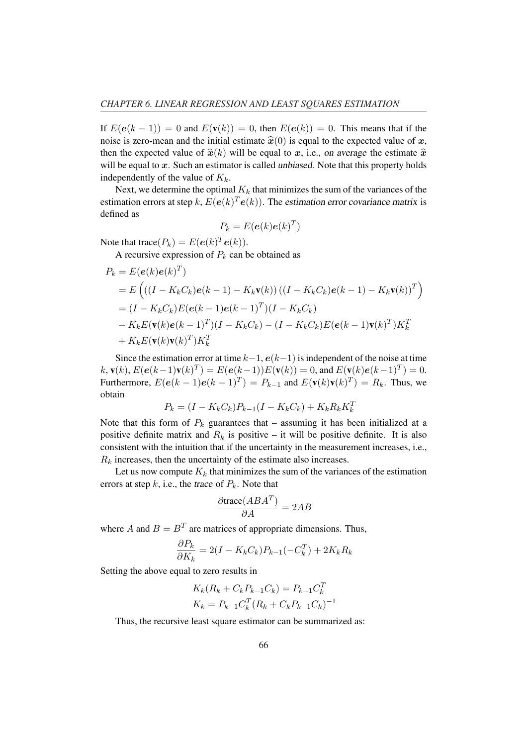If  $E(e(k-1)) = 0$  and  $E(\mathbf{v}(k)) = 0$ , then  $E(e(k)) = 0$ . This means that if the noise is zero-mean and the initial estimate  $\hat{x}(0)$  is equal to the expected value of x, then the expected value of  $\hat{x}(k)$  will be equal to x, i.e., on average the estimate  $\hat{x}$ will be equal to  $x$ . Such an estimator is called unbiased. Note that this property holds independently of the value of  $K_k$ .

Next, we determine the optimal  $K_k$  that minimizes the sum of the variances of the estimation errors at step k,  $E(e(k)^T e(k))$ . The estimation error covariance matrix is defined as

$$
P_k = E(e(k)e(k)^T)
$$

Note that trace $(P_k) = E(e(k)^T e(k)).$ 

A recursive expression of  $P_k$  can be obtained as

$$
P_k = E(e(k)e(k)^T)
$$
  
=  $E((I - K_kC_k)e(k - 1) - K_k\mathbf{v}(k))((I - K_kC_k)e(k - 1) - K_k\mathbf{v}(k))^T)$   
=  $(I - K_kC_k)E(e(k - 1)e(k - 1)^T)(I - K_kC_k)$   
 $- K_kE(\mathbf{v}(k)e(k - 1)^T)(I - K_kC_k) - (I - K_kC_k)E(e(k - 1)\mathbf{v}(k)^T)K_k^T$   
+  $K_kE(\mathbf{v}(k)\mathbf{v}(k)^T)K_k^T$ 

Since the estimation error at time  $k-1$ ,  $e(k-1)$  is independent of the noise at time  $k, \mathbf{v}(k), E(e(k-1)\mathbf{v}(k)^T) = E(e(k-1))E(\mathbf{v}(k)) = 0$ , and  $E(\mathbf{v}(k)e(k-1)^T) = 0$ . Furthermore,  $E(e(k-1)e(k-1)^{T}) = P_{k-1}$  and  $E(\mathbf{v}(k)\mathbf{v}(k)^{T}) = R_k$ . Thus, we obtain

$$
P_k = (I - K_k C_k) P_{k-1} (I - K_k C_k) + K_k R_k K_k^T
$$

Note that this form of  $P_k$  guarantees that – assuming it has been initialized at a positive definite matrix and  $R_k$  is positive – it will be positive definite. It is also consistent with the intuition that if the uncertainty in the measurement increases, i.e.,  $R_k$  increases, then the uncertainty of the estimate also increases.

Let us now compute  $K_k$  that minimizes the sum of the variances of the estimation errors at step  $k$ , i.e., the trace of  $P_k$ . Note that

$$
\frac{\partial \text{trace}(ABA^T)}{\partial A} = 2AB
$$

where A and  $B = B<sup>T</sup>$  are matrices of appropriate dimensions. Thus,

$$
\frac{\partial P_k}{\partial K_k} = 2(I - K_k C_k)P_{k-1}(-C_k^T) + 2K_k R_k
$$

Setting the above equal to zero results in

$$
K_k(R_k + C_k P_{k-1} C_k) = P_{k-1} C_k^T
$$
  

$$
K_k = P_{k-1} C_k^T (R_k + C_k P_{k-1} C_k)^{-1}
$$

Thus, the recursive least square estimator can be summarized as: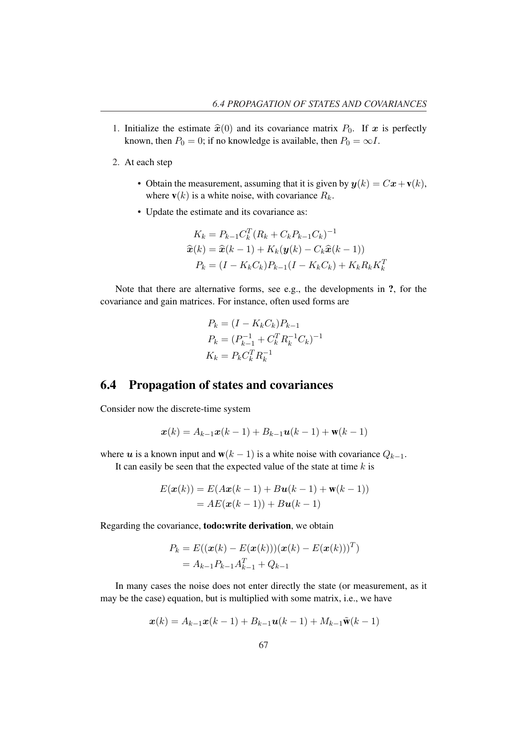- 1. Initialize the estimate  $\hat{x}(0)$  and its covariance matrix  $P_0$ . If x is perfectly known, then  $P_0 = 0$ ; if no knowledge is available, then  $P_0 = \infty I$ .
- 2. At each step
	- Obtain the measurement, assuming that it is given by  $y(k) = Cx + v(k)$ , where  $\mathbf{v}(k)$  is a white noise, with covariance  $R_k$ .
	- Update the estimate and its covariance as:

$$
K_k = P_{k-1}C_k^T (R_k + C_k P_{k-1} C_k)^{-1}
$$
  

$$
\hat{x}(k) = \hat{x}(k-1) + K_k(\mathbf{y}(k) - C_k \hat{x}(k-1))
$$
  

$$
P_k = (I - K_k C_k)P_{k-1}(I - K_k C_k) + K_k R_k K_k^T
$$

Note that there are alternative forms, see e.g., the developments in ?, for the covariance and gain matrices. For instance, often used forms are

$$
P_k = (I - K_k C_k) P_{k-1}
$$
  
\n
$$
P_k = (P_{k-1}^{-1} + C_k^T R_k^{-1} C_k)^{-1}
$$
  
\n
$$
K_k = P_k C_k^T R_k^{-1}
$$

# 6.4 Propagation of states and covariances

Consider now the discrete-time system

$$
\bm{x}(k) = A_{k-1}\bm{x}(k-1) + B_{k-1}\bm{u}(k-1) + \bm{w}(k-1)
$$

where u is a known input and  $w(k - 1)$  is a white noise with covariance  $Q_{k-1}$ . It can easily be seen that the expected value of the state at time  $k$  is

$$
E(\mathbf{x}(k)) = E(A\mathbf{x}(k-1) + B\mathbf{u}(k-1) + \mathbf{w}(k-1))
$$
  
=  $AE(\mathbf{x}(k-1)) + B\mathbf{u}(k-1)$ 

Regarding the covariance, todo:write derivation, we obtain

$$
P_k = E((\mathbf{x}(k) - E(\mathbf{x}(k)))(\mathbf{x}(k) - E(\mathbf{x}(k)))^T)
$$
  
=  $A_{k-1}P_{k-1}A_{k-1}^T + Q_{k-1}$ 

In many cases the noise does not enter directly the state (or measurement, as it may be the case) equation, but is multiplied with some matrix, i.e., we have

$$
\mathbf{x}(k) = A_{k-1}\mathbf{x}(k-1) + B_{k-1}\mathbf{u}(k-1) + M_{k-1}\tilde{\mathbf{w}}(k-1)
$$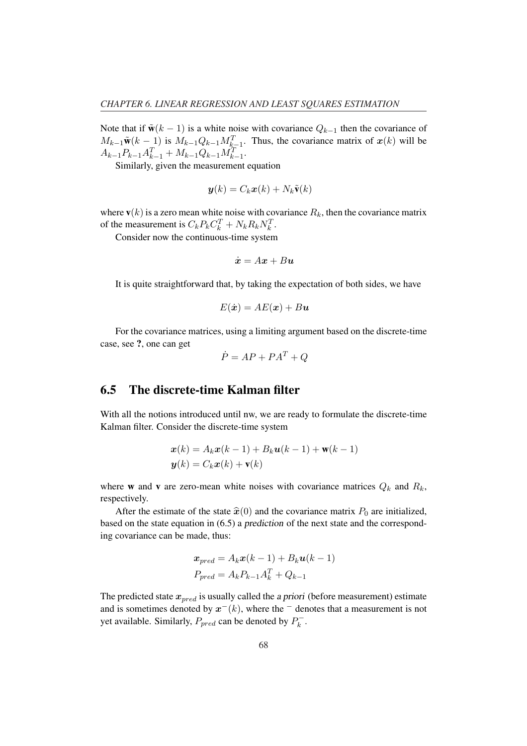Note that if  $\tilde{\mathbf{w}}(k-1)$  is a white noise with covariance  $Q_{k-1}$  then the covariance of  $M_{k-1}\tilde{\mathbf{w}}(k-1)$  is  $M_{k-1}Q_{k-1}M_{k-1}^T$ . Thus, the covariance matrix of  $\mathbf{x}(k)$  will be  $A_{k-1}P_{k-1}A_{k-1}^T + M_{k-1}Q_{k-1}M_{k-1}^T$ .

Similarly, given the measurement equation

$$
\mathbf{y}(k) = C_k \mathbf{x}(k) + N_k \tilde{\mathbf{v}}(k)
$$

where  $\mathbf{v}(k)$  is a zero mean white noise with covariance  $R_k$ , then the covariance matrix of the measurement is  $C_k P_k C_k^T + N_k R_k N_k^T$ .

Consider now the continuous-time system

$$
\dot{\boldsymbol{x}}=A\boldsymbol{x}+B\boldsymbol{u}
$$

It is quite straightforward that, by taking the expectation of both sides, we have

$$
E(\dot{\boldsymbol{x}}) = AE(\boldsymbol{x}) + B\boldsymbol{u}
$$

For the covariance matrices, using a limiting argument based on the discrete-time case, see ?, one can get

$$
\dot{P} = AP + PA^T + Q
$$

### 6.5 The discrete-time Kalman filter

With all the notions introduced until nw, we are ready to formulate the discrete-time Kalman filter. Consider the discrete-time system

$$
\mathbf{x}(k) = A_k \mathbf{x}(k-1) + B_k \mathbf{u}(k-1) + \mathbf{w}(k-1)
$$
  

$$
\mathbf{y}(k) = C_k \mathbf{x}(k) + \mathbf{v}(k)
$$

where **w** and **v** are zero-mean white noises with covariance matrices  $Q_k$  and  $R_k$ , respectively.

After the estimate of the state  $\hat{x}(0)$  and the covariance matrix  $P_0$  are initialized, based on the state equation in (6.5) a prediction of the next state and the corresponding covariance can be made, thus:

$$
x_{pred} = A_k x(k-1) + B_k u(k-1)
$$
  

$$
P_{pred} = A_k P_{k-1} A_k^T + Q_{k-1}
$$

The predicted state  $x_{pred}$  is usually called the a priori (before measurement) estimate and is sometimes denoted by  $x^{-}(k)$ , where the  $^{-}$  denotes that a measurement is not yet available. Similarly,  $P_{pred}$  can be denoted by  $P_k^{\text{--}}$  $\frac{k}{k}$  .